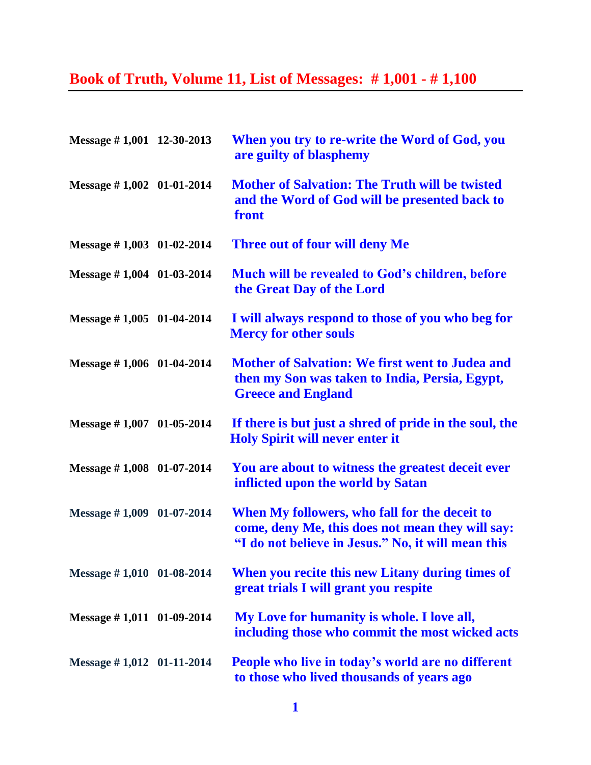## **Book of Truth, Volume 11, List of Messages: # 1,001 - # 1,100**

| Message #1,001 12-30-2013     | When you try to re-write the Word of God, you<br>are guilty of blasphemy                                                                                |
|-------------------------------|---------------------------------------------------------------------------------------------------------------------------------------------------------|
| Message $\# 1,002$ 01-01-2014 | <b>Mother of Salvation: The Truth will be twisted</b><br>and the Word of God will be presented back to<br>front                                         |
| Message $\# 1,003$ 01-02-2014 | Three out of four will deny Me                                                                                                                          |
| Message #1,004 01-03-2014     | <b>Much will be revealed to God's children, before</b><br>the Great Day of the Lord                                                                     |
| Message $\# 1,005$ 01-04-2014 | I will always respond to those of you who beg for<br><b>Mercy for other souls</b>                                                                       |
| Message #1,006 01-04-2014     | <b>Mother of Salvation: We first went to Judea and</b><br>then my Son was taken to India, Persia, Egypt,<br><b>Greece and England</b>                   |
| Message $\# 1,007$ 01-05-2014 | If there is but just a shred of pride in the soul, the<br><b>Holy Spirit will never enter it</b>                                                        |
| Message $\# 1,008$ 01-07-2014 | You are about to witness the greatest deceit ever<br>inflicted upon the world by Satan                                                                  |
| Message $\# 1,009$ 01-07-2014 | When My followers, who fall for the deceit to<br>come, deny Me, this does not mean they will say:<br>"I do not believe in Jesus." No, it will mean this |
| Message #1,010 01-08-2014     | When you recite this new Litany during times of<br>great trials I will grant you respite                                                                |
| Message #1,011 01-09-2014     | My Love for humanity is whole. I love all,<br>including those who commit the most wicked acts                                                           |
| Message $\# 1,012$ 01-11-2014 | People who live in today's world are no different<br>to those who lived thousands of years ago                                                          |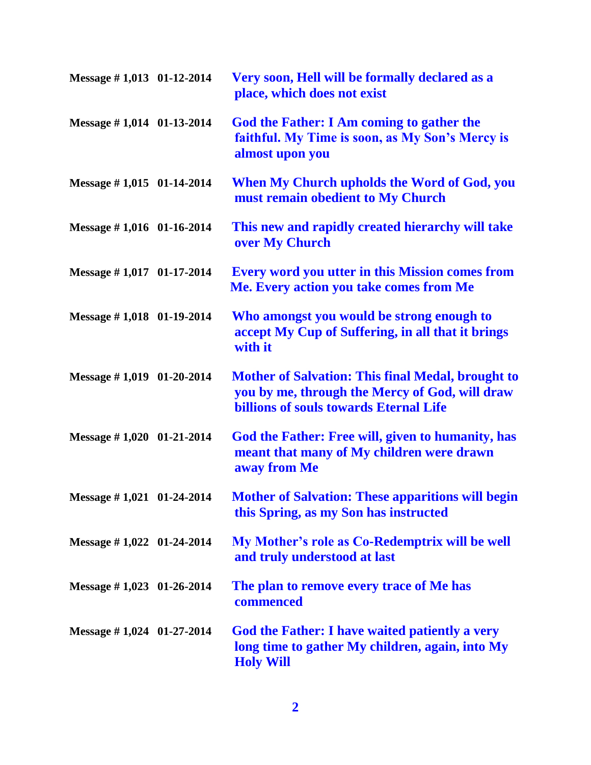| Message #1,013 01-12-2014     | Very soon, Hell will be formally declared as a<br>place, which does not exist                                                                               |
|-------------------------------|-------------------------------------------------------------------------------------------------------------------------------------------------------------|
| Message #1,014 01-13-2014     | <b>God the Father: I Am coming to gather the</b><br>faithful. My Time is soon, as My Son's Mercy is<br>almost upon you                                      |
| Message $\# 1,015$ 01-14-2014 | When My Church upholds the Word of God, you<br>must remain obedient to My Church                                                                            |
| Message #1,016 01-16-2014     | This new and rapidly created hierarchy will take<br>over My Church                                                                                          |
| Message #1,017 01-17-2014     | <b>Every word you utter in this Mission comes from</b><br>Me. Every action you take comes from Me                                                           |
| Message #1,018 01-19-2014     | Who amongst you would be strong enough to<br>accept My Cup of Suffering, in all that it brings<br>with it                                                   |
| Message $\# 1,019$ 01-20-2014 | <b>Mother of Salvation: This final Medal, brought to</b><br>you by me, through the Mercy of God, will draw<br><b>billions of souls towards Eternal Life</b> |
| Message #1,020 01-21-2014     | God the Father: Free will, given to humanity, has<br>meant that many of My children were drawn<br>away from Me                                              |
| Message #1,021 01-24-2014     | <b>Mother of Salvation: These apparitions will begin</b><br>this Spring, as my Son has instructed                                                           |
| Message $\# 1,022$ 01-24-2014 | My Mother's role as Co-Redemptrix will be well<br>and truly understood at last                                                                              |
| Message $\# 1,023$ 01-26-2014 | The plan to remove every trace of Me has<br>commenced                                                                                                       |
| Message $\# 1,024$ 01-27-2014 | God the Father: I have waited patiently a very<br>long time to gather My children, again, into My<br><b>Holy Will</b>                                       |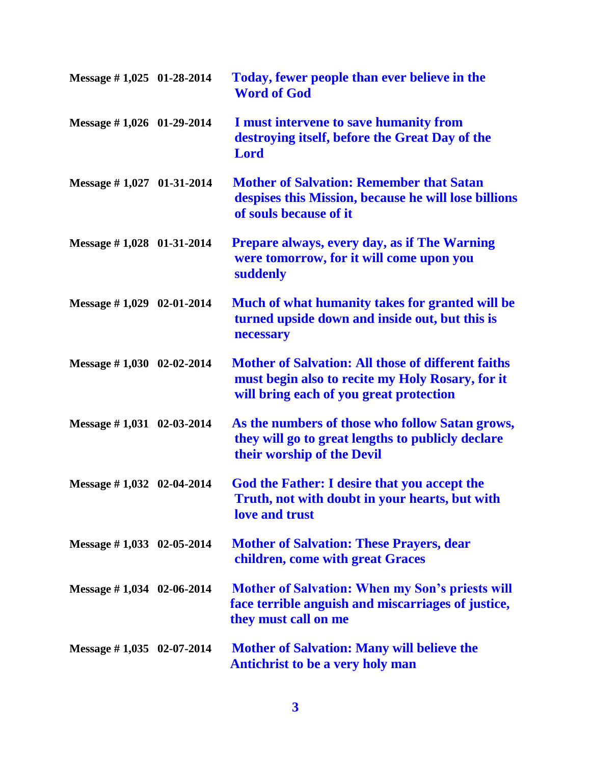| Message #1,025 01-28-2014     | Today, fewer people than ever believe in the<br><b>Word of God</b>                                                                                       |
|-------------------------------|----------------------------------------------------------------------------------------------------------------------------------------------------------|
| Message #1,026 01-29-2014     | I must intervene to save humanity from<br>destroying itself, before the Great Day of the<br><b>Lord</b>                                                  |
| Message $\# 1,027$ 01-31-2014 | <b>Mother of Salvation: Remember that Satan</b><br>despises this Mission, because he will lose billions<br>of souls because of it                        |
| Message $\# 1,028$ 01-31-2014 | <b>Prepare always, every day, as if The Warning</b><br>were tomorrow, for it will come upon you<br>suddenly                                              |
| Message $\# 1,029$ 02-01-2014 | Much of what humanity takes for granted will be<br>turned upside down and inside out, but this is<br>necessary                                           |
| Message #1,030 02-02-2014     | <b>Mother of Salvation: All those of different faiths</b><br>must begin also to recite my Holy Rosary, for it<br>will bring each of you great protection |
| Message $\# 1,031$ 02-03-2014 | As the numbers of those who follow Satan grows,<br>they will go to great lengths to publicly declare<br>their worship of the Devil                       |
| Message $\# 1,032$ 02-04-2014 | God the Father: I desire that you accept the<br>Truth, not with doubt in your hearts, but with<br>love and trust                                         |
| Message #1,033 02-05-2014     | <b>Mother of Salvation: These Prayers, dear</b><br>children, come with great Graces                                                                      |
| Message $\# 1,034$ 02-06-2014 | <b>Mother of Salvation: When my Son's priests will</b><br>face terrible anguish and miscarriages of justice,<br>they must call on me                     |
| Message $\# 1,035$ 02-07-2014 | <b>Mother of Salvation: Many will believe the</b><br><b>Antichrist to be a very holy man</b>                                                             |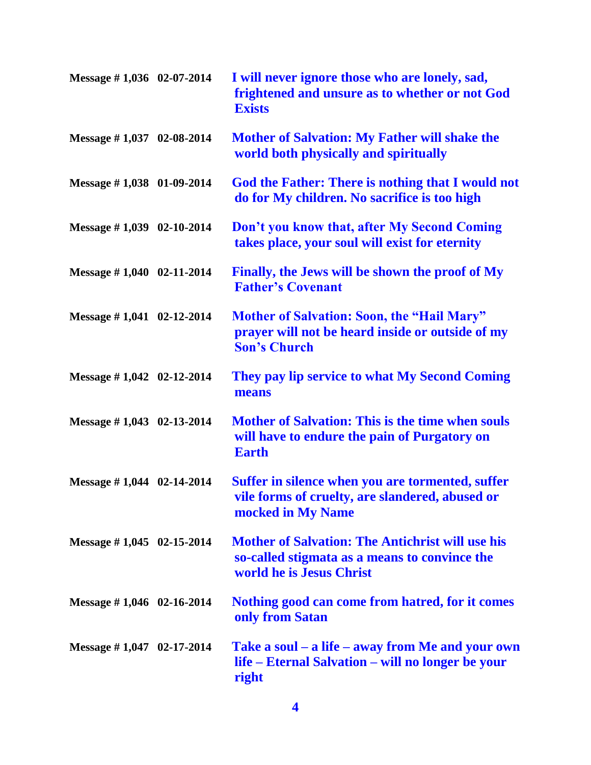| Message #1,036 02-07-2014           | I will never ignore those who are lonely, sad,<br>frightened and unsure as to whether or not God<br><b>Exists</b>                    |
|-------------------------------------|--------------------------------------------------------------------------------------------------------------------------------------|
| Message $\# 1,037$ 02-08-2014       | <b>Mother of Salvation: My Father will shake the</b><br>world both physically and spiritually                                        |
| Message $\# 1,038$ 01-09-2014       | God the Father: There is nothing that I would not<br>do for My children. No sacrifice is too high                                    |
| Message $\# 1,039$ 02-10-2014       | Don't you know that, after My Second Coming<br>takes place, your soul will exist for eternity                                        |
| Message $\# 1,040$ 02-11-2014       | Finally, the Jews will be shown the proof of My<br><b>Father's Covenant</b>                                                          |
| Message $\# 1,041$ 02-12-2014       | <b>Mother of Salvation: Soon, the "Hail Mary"</b><br>prayer will not be heard inside or outside of my<br><b>Son's Church</b>         |
| Message $\# 1,042 \quad 02-12-2014$ | They pay lip service to what My Second Coming<br>means                                                                               |
| Message $\# 1,043$ 02-13-2014       | <b>Mother of Salvation: This is the time when souls</b><br>will have to endure the pain of Purgatory on<br><b>Earth</b>              |
| Message $\# 1,044$ 02-14-2014       | Suffer in silence when you are tormented, suffer<br>vile forms of cruelty, are slandered, abused or<br>mocked in My Name             |
| Message $\# 1,045$ 02-15-2014       | <b>Mother of Salvation: The Antichrist will use his</b><br>so-called stigmata as a means to convince the<br>world he is Jesus Christ |
| Message $\# 1,046$ 02-16-2014       | Nothing good can come from hatred, for it comes<br>only from Satan                                                                   |
| Message $\# 1,047$ 02-17-2014       | Take a soul – a life – away from Me and your own<br>life – Eternal Salvation – will no longer be your<br>right                       |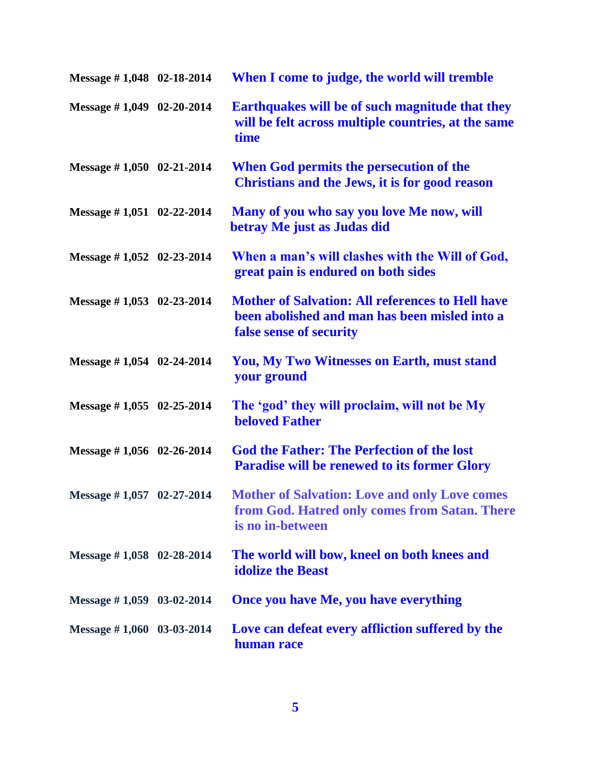| Message $\# 1,048$ 02-18-2014 | When I come to judge, the world will tremble                                                                                        |
|-------------------------------|-------------------------------------------------------------------------------------------------------------------------------------|
| Message #1,049 02-20-2014     | Earthquakes will be of such magnitude that they<br>will be felt across multiple countries, at the same<br>time                      |
| Message $\# 1,050$ 02-21-2014 | When God permits the persecution of the<br>Christians and the Jews, it is for good reason                                           |
| Message #1,051 02-22-2014     | Many of you who say you love Me now, will<br>betray Me just as Judas did                                                            |
| Message #1,052 02-23-2014     | When a man's will clashes with the Will of God,<br>great pain is endured on both sides                                              |
| Message $\# 1,053$ 02-23-2014 | <b>Mother of Salvation: All references to Hell have</b><br>been abolished and man has been misled into a<br>false sense of security |
| Message $\#$ 1,054 02-24-2014 | You, My Two Witnesses on Earth, must stand<br>your ground                                                                           |
| Message $\#$ 1,055 02-25-2014 | The 'god' they will proclaim, will not be My<br><b>beloved Father</b>                                                               |
| Message $\#$ 1,056 02-26-2014 | <b>God the Father: The Perfection of the lost</b><br><b>Paradise will be renewed to its former Glory</b>                            |
| Message $\# 1,057$ 02-27-2014 | <b>Mother of Salvation: Love and only Love comes</b><br>from God. Hatred only comes from Satan. There<br>is no in-between           |
| Message $\# 1,058$ 02-28-2014 | The world will bow, kneel on both knees and<br><b>idolize the Beast</b>                                                             |
| Message $\# 1,059$ 03-02-2014 | <b>Once you have Me, you have everything</b>                                                                                        |
| Message $\# 1,060$ 03-03-2014 | Love can defeat every affliction suffered by the<br>human race                                                                      |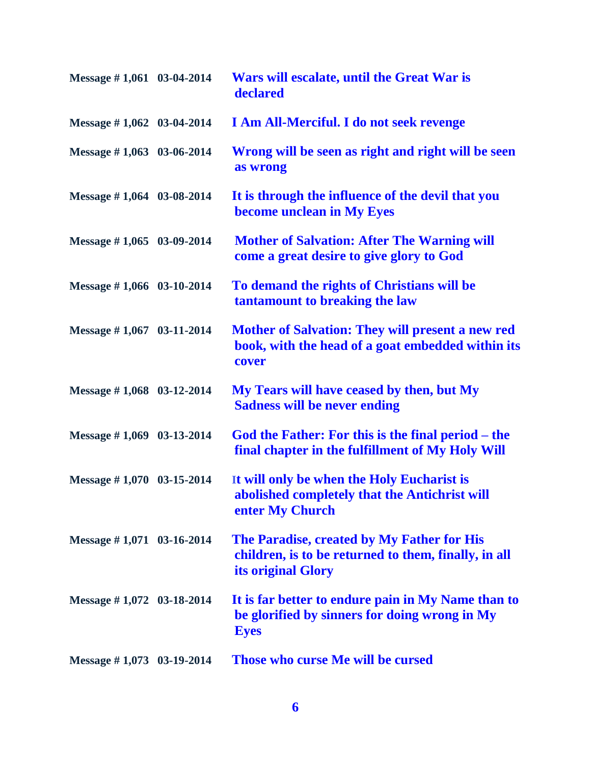| Message $\# 1,061$ 03-04-2014 | Wars will escalate, until the Great War is<br>declared                                                                   |
|-------------------------------|--------------------------------------------------------------------------------------------------------------------------|
| Message $\# 1,062$ 03-04-2014 | I Am All-Merciful. I do not seek revenge                                                                                 |
| Message $\# 1,063$ 03-06-2014 | Wrong will be seen as right and right will be seen<br>as wrong                                                           |
| Message $\# 1,064$ 03-08-2014 | It is through the influence of the devil that you<br>become unclean in My Eyes                                           |
| Message $\# 1,065$ 03-09-2014 | <b>Mother of Salvation: After The Warning will</b><br>come a great desire to give glory to God                           |
| Message #1,066 03-10-2014     | To demand the rights of Christians will be<br>tantamount to breaking the law                                             |
| Message #1,067 03-11-2014     | <b>Mother of Salvation: They will present a new red</b><br>book, with the head of a goat embedded within its<br>cover    |
| Message #1,068 03-12-2014     | My Tears will have ceased by then, but My<br><b>Sadness will be never ending</b>                                         |
| Message $\# 1,069$ 03-13-2014 | God the Father: For this is the final period – the<br>final chapter in the fulfillment of My Holy Will                   |
| Message $\# 1,070$ 03-15-2014 | It will only be when the Holy Eucharist is<br>abolished completely that the Antichrist will<br>enter My Church           |
| Message #1,071 03-16-2014     | The Paradise, created by My Father for His<br>children, is to be returned to them, finally, in all<br>its original Glory |
| Message $\# 1,072$ 03-18-2014 | It is far better to endure pain in My Name than to<br>be glorified by sinners for doing wrong in My<br><b>Eyes</b>       |
| Message $\# 1,073$ 03-19-2014 | Those who curse Me will be cursed                                                                                        |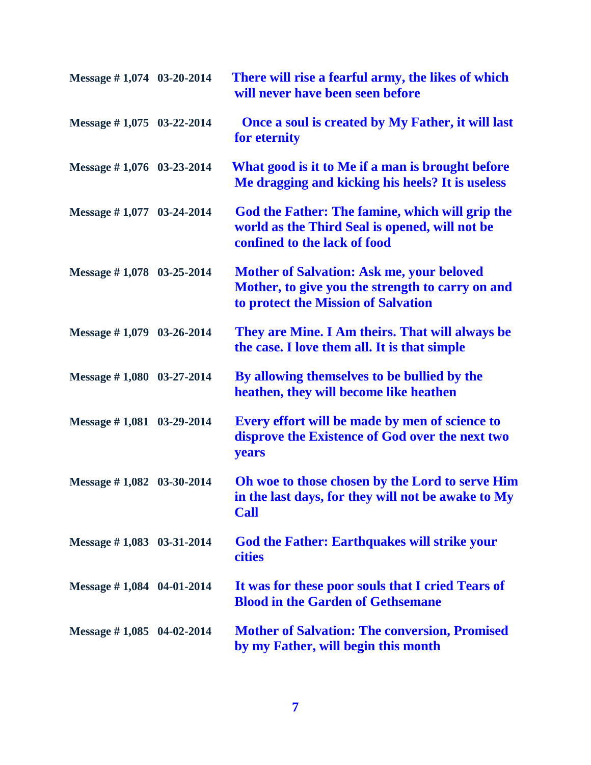| Message $\# 1,074$ 03-20-2014 | There will rise a fearful army, the likes of which<br>will never have been seen before                                                      |
|-------------------------------|---------------------------------------------------------------------------------------------------------------------------------------------|
| Message $\# 1,075$ 03-22-2014 | Once a soul is created by My Father, it will last<br>for eternity                                                                           |
| Message #1,076 03-23-2014     | What good is it to Me if a man is brought before<br>Me dragging and kicking his heels? It is useless                                        |
| Message $\# 1,077$ 03-24-2014 | God the Father: The famine, which will grip the<br>world as the Third Seal is opened, will not be<br>confined to the lack of food           |
| Message $\# 1,078$ 03-25-2014 | <b>Mother of Salvation: Ask me, your beloved</b><br>Mother, to give you the strength to carry on and<br>to protect the Mission of Salvation |
| Message $\# 1,079$ 03-26-2014 | They are Mine. I Am theirs. That will always be<br>the case. I love them all. It is that simple                                             |
| Message #1,080 03-27-2014     | By allowing themselves to be bullied by the<br>heathen, they will become like heathen                                                       |
| Message $\# 1,081$ 03-29-2014 | Every effort will be made by men of science to<br>disprove the Existence of God over the next two<br>years                                  |
| Message $\# 1,082$ 03-30-2014 | Oh woe to those chosen by the Lord to serve Him<br>in the last days, for they will not be awake to My<br><b>Call</b>                        |
| Message $\# 1,083$ 03-31-2014 | <b>God the Father: Earthquakes will strike your</b><br><b>cities</b>                                                                        |
| Message $\# 1,084$ 04-01-2014 | It was for these poor souls that I cried Tears of<br><b>Blood in the Garden of Gethsemane</b>                                               |
| Message $\# 1,085$ 04-02-2014 | <b>Mother of Salvation: The conversion, Promised</b><br>by my Father, will begin this month                                                 |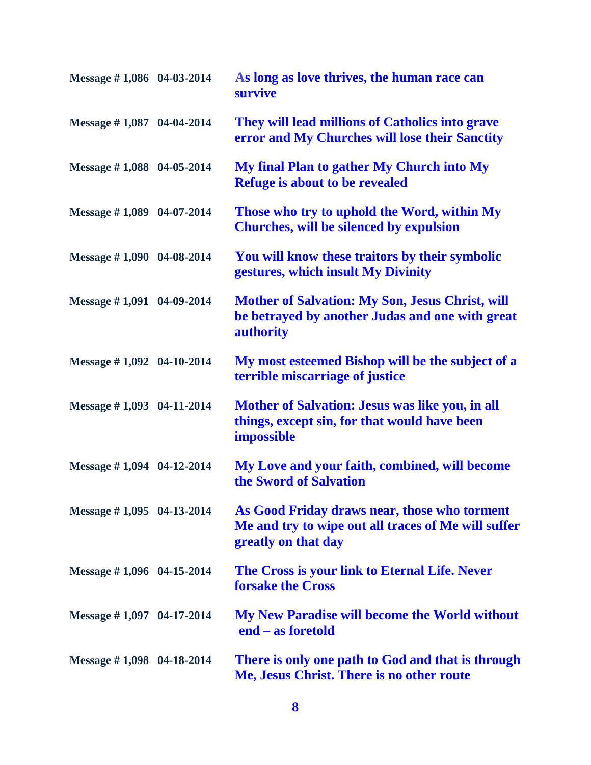| Message #1,086 04-03-2014     | As long as love thrives, the human race can<br>survive                                                                     |
|-------------------------------|----------------------------------------------------------------------------------------------------------------------------|
| Message $\# 1,087$ 04-04-2014 | They will lead millions of Catholics into grave<br>error and My Churches will lose their Sanctity                          |
| Message $\# 1,088$ 04-05-2014 | My final Plan to gather My Church into My<br><b>Refuge is about to be revealed</b>                                         |
| Message $\# 1,089$ 04-07-2014 | Those who try to uphold the Word, within My<br><b>Churches, will be silenced by expulsion</b>                              |
| Message $\# 1,090$ 04-08-2014 | You will know these traitors by their symbolic<br>gestures, which insult My Divinity                                       |
| Message #1,091 04-09-2014     | <b>Mother of Salvation: My Son, Jesus Christ, will</b><br>be betrayed by another Judas and one with great<br>authority     |
| Message $\# 1,092$ 04-10-2014 | My most esteemed Bishop will be the subject of a<br>terrible miscarriage of justice                                        |
| Message $\#$ 1,093 04-11-2014 | Mother of Salvation: Jesus was like you, in all<br>things, except sin, for that would have been<br><b>impossible</b>       |
| Message #1,094 04-12-2014     | My Love and your faith, combined, will become<br>the Sword of Salvation                                                    |
| Message #1,095 04-13-2014     | As Good Friday draws near, those who torment<br>Me and try to wipe out all traces of Me will suffer<br>greatly on that day |
| Message $\#$ 1,096 04-15-2014 | The Cross is your link to Eternal Life. Never<br><b>forsake the Cross</b>                                                  |
| Message $\# 1,097$ 04-17-2014 | My New Paradise will become the World without<br>end – as foretold                                                         |
| Message $\# 1,098$ 04-18-2014 | There is only one path to God and that is through<br>Me, Jesus Christ. There is no other route                             |